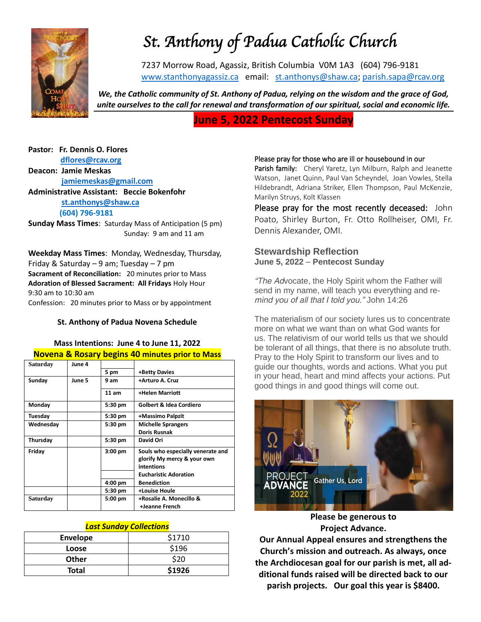

# *St. Anthony of Padua Catholic Church*

7237 Morrow Road, Agassiz, British Columbia V0M 1A3 (604) 796-9181 [www.stanthonyagassiz.ca](http://www.stanthonyagassiz.ca/) email: [st.anthonys@shaw.ca;](mailto:st.anthonys@shaw.ca) [parish.sapa@rcav.org](mailto:parish.sapa@rcav.org) 

*We, the Catholic community of St. Anthony of Padua, relying on the wisdom and the grace of God, unite ourselves to the call for renewal and transformation of our spiritual, social and economic life.*

# **June 5, 2022 Pentecost Sunday**

#### **Pastor: Fr. Dennis O. Flores [dflores@rcav.org](mailto:dflores@rcav.org) Deacon: Jamie Meskas [jamiemeskas@gmail.com](mailto:jamiemeskas@gmail.com)**

**Administrative Assistant: Beccie Bokenfohr [st.anthonys@shaw.ca](mailto:st.anthonys@shaw.ca) (604) 796-9181**

**Sunday Mass Times**: Saturday Mass of Anticipation (5 pm) Sunday: 9 am and 11 am

**Weekday Mass Times**: Monday, Wednesday, Thursday, Friday & Saturday – 9 am; Tuesday – 7 pm **Sacrament of Reconciliation:** 20 minutes prior to Mass **Adoration of Blessed Sacrament: All Fridays** Holy Hour 9:30 am to 10:30 am Confession: 20 minutes prior to Mass or by appointment

#### **St. Anthony of Padua Novena Schedule**

#### **Mass Intentions: June 4 to June 11, 2022 Novena & Rosary begins 40 minutes prior to Mass**

| Saturday  | June 4 |           |                                                                                |
|-----------|--------|-----------|--------------------------------------------------------------------------------|
|           |        | 5 pm      | +Betty Davies                                                                  |
| Sunday    | June 5 | 9 am      | +Arturo A. Cruz                                                                |
|           |        | 11 am     | +Helen Marriott                                                                |
| Monday    |        | 5:30 pm   | <b>Golbert &amp; Idea Cordiero</b>                                             |
| Tuesday   |        | 5:30 pm   | +Massimo Palpzit                                                               |
| Wednesday |        | 5:30 pm   | <b>Michelle Sprangers</b>                                                      |
|           |        |           | <b>Doris Rusnak</b>                                                            |
| Thursday  |        | 5:30 pm   | David Ori                                                                      |
| Friday    |        | $3:00$ pm | Souls who especially venerate and<br>glorify My mercy & your own<br>intentions |
|           |        |           | <b>Eucharistic Adoration</b>                                                   |
|           |        | 4:00 pm   | <b>Benediction</b>                                                             |
|           |        | 5:30 pm   | +Louise Houle                                                                  |
| Saturday  |        | $5:00$ pm | +Rosalie A. Monecillo &<br>+Jeanne French                                      |

#### *Last Sunday Collections*

| Envelope     | \$1710 |
|--------------|--------|
| Loose        | \$196  |
| <b>Other</b> | \$20   |
| <b>Total</b> | \$1926 |

#### Please pray for those who are ill or housebound in our

Parish family: Cheryl Yaretz, Lyn Milburn, Ralph and Jeanette Watson, Janet Quinn, Paul Van Scheyndel, Joan Vowles, Stella Hildebrandt, Adriana Striker, Ellen Thompson, Paul McKenzie, Marilyn Struys, Kolt Klassen

Please pray for the most recently deceased: John Poato, Shirley Burton, Fr. Otto Rollheiser, OMI, Fr. Dennis Alexander, OMI.

#### **Stewardship Reflection June 5, 2022** – **Pentecost Sunday**

*"The Advocate, the Holy Spirit whom the Father will send in my name, will teach you everything and remind you of all that I told you." John 14:26*

The materialism of our society lures us to concentrate more on what we want than on what God wants for us. The relativism of our world tells us that we should be tolerant of all things, that there is no absolute truth. Pray to the Holy Spirit to transform our lives and to guide our thoughts, words and actions. What you put in your head, heart and mind affects your actions. Put good things in and good things will come out.



**Please be generous to Project Advance.**

**Our Annual Appeal ensures and strengthens the Church's mission and outreach. As always, once the Archdiocesan goal for our parish is met, all additional funds raised will be directed back to our parish projects. Our goal this year is \$8400.**